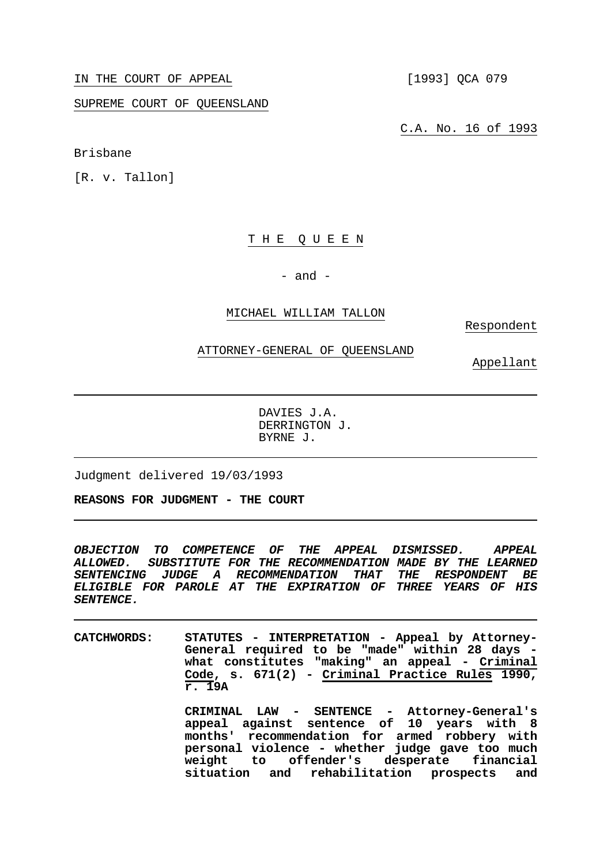IN THE COURT OF APPEAL [1993] QCA 079

SUPREME COURT OF QUEENSLAND

Brisbane

[R. v. Tallon]

## T H E Q U E E N

 $-$  and  $-$ 

### MICHAEL WILLIAM TALLON

Respondent

## ATTORNEY-GENERAL OF QUEENSLAND

Appellant

 DAVIES J.A. DERRINGTON J. BYRNE J.

Judgment delivered 19/03/1993

**REASONS FOR JUDGMENT - THE COURT**

*OBJECTION TO COMPETENCE OF THE APPEAL DISMISSED. APPEAL ALLOWED. SUBSTITUTE FOR THE RECOMMENDATION MADE BY THE LEARNED SENTENCING JUDGE A RECOMMENDATION THAT THE RESPONDENT BE ELIGIBLE FOR PAROLE AT THE EXPIRATION OF THREE YEARS OF HIS SENTENCE.*

**CATCHWORDS: STATUTES - INTERPRETATION - Appeal by Attorney-General required to be "made" within 28 days what constitutes "making" an appeal - Criminal Code, s. 671(2) - Criminal Practice Rules 1990, r. 19A** 

> **CRIMINAL LAW - SENTENCE - Attorney-General's appeal against sentence of 10 years with 8 months' recommendation for armed robbery with personal violence - whether judge gave too much weight to offender's desperate financial situation and rehabilitation prospects and**

C.A. No. 16 of 1993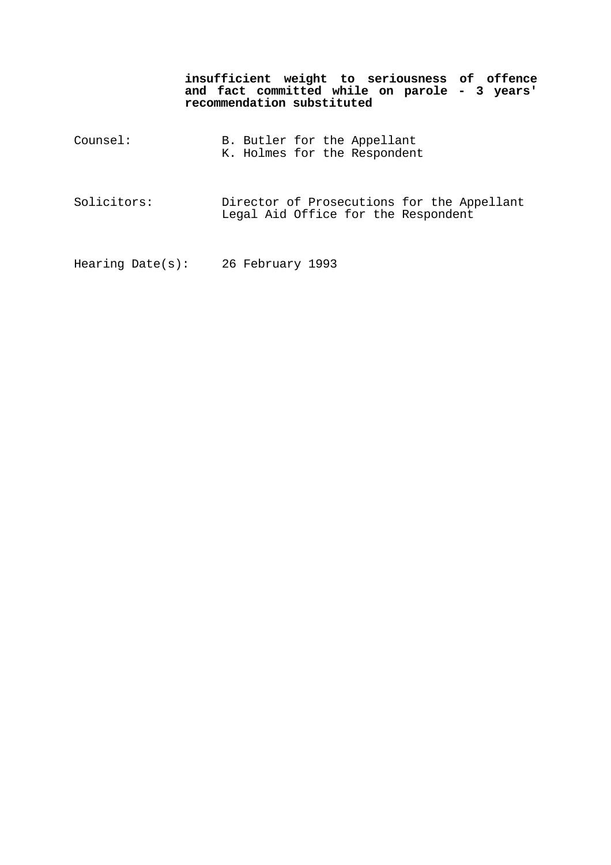**insufficient weight to seriousness of offence and fact committed while on parole - 3 years' recommendation substituted** 

| Counsel:    | B. Butler for the Appellant<br>K. Holmes for the Respondent                       |
|-------------|-----------------------------------------------------------------------------------|
| Solicitors: | Director of Prosecutions for the Appellant<br>Legal Aid Office for the Respondent |

Hearing Date(s): 26 February 1993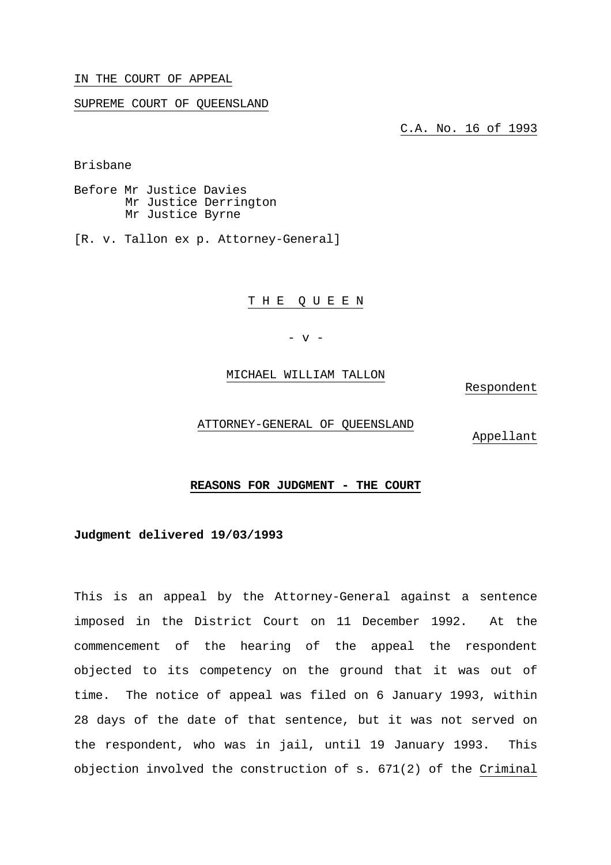IN THE COURT OF APPEAL

SUPREME COURT OF QUEENSLAND

C.A. No. 16 of 1993

Brisbane

Before Mr Justice Davies Mr Justice Derrington Mr Justice Byrne

[R. v. Tallon ex p. Attorney-General]

T H E Q U E E N

- v -

MICHAEL WILLIAM TALLON

Respondent

ATTORNEY-GENERAL OF QUEENSLAND

Appellant

# **REASONS FOR JUDGMENT - THE COURT**

**Judgment delivered 19/03/1993** 

This is an appeal by the Attorney-General against a sentence imposed in the District Court on 11 December 1992. At the commencement of the hearing of the appeal the respondent objected to its competency on the ground that it was out of time. The notice of appeal was filed on 6 January 1993, within 28 days of the date of that sentence, but it was not served on the respondent, who was in jail, until 19 January 1993. This objection involved the construction of s. 671(2) of the Criminal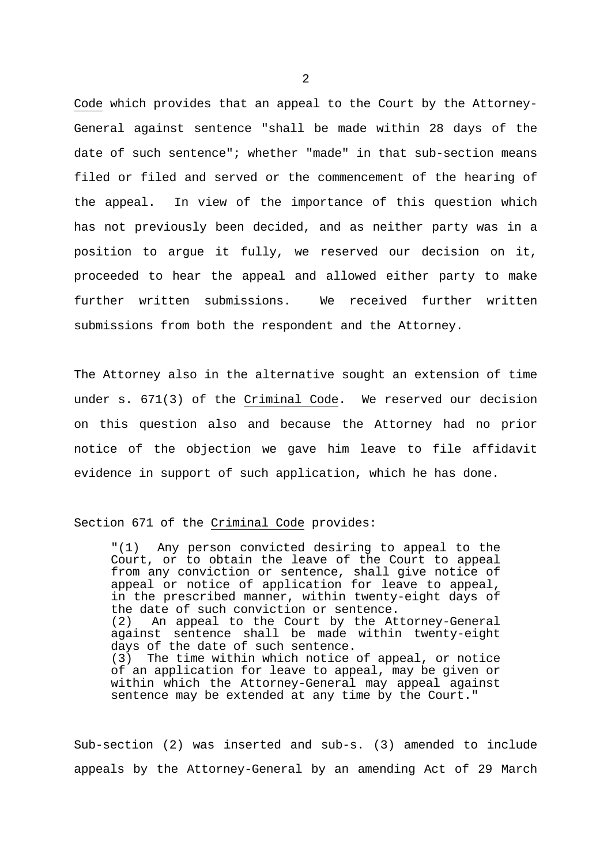Code which provides that an appeal to the Court by the Attorney-General against sentence "shall be made within 28 days of the date of such sentence"; whether "made" in that sub-section means filed or filed and served or the commencement of the hearing of the appeal. In view of the importance of this question which has not previously been decided, and as neither party was in a position to argue it fully, we reserved our decision on it, proceeded to hear the appeal and allowed either party to make further written submissions. We received further written submissions from both the respondent and the Attorney.

The Attorney also in the alternative sought an extension of time under s. 671(3) of the Criminal Code. We reserved our decision on this question also and because the Attorney had no prior notice of the objection we gave him leave to file affidavit evidence in support of such application, which he has done.

Section 671 of the Criminal Code provides:

 "(1) Any person convicted desiring to appeal to the Court, or to obtain the leave of the Court to appeal from any conviction or sentence, shall give notice of appeal or notice of application for leave to appeal, in the prescribed manner, within twenty-eight days of the date of such conviction or sentence. (2) An appeal to the Court by the Attorney-General against sentence shall be made within twenty-eight days of the date of such sentence.<br>(3) The time within which notice The time within which notice of appeal, or notice of an application for leave to appeal, may be given or within which the Attorney-General may appeal against sentence may be extended at any time by the Court."

Sub-section (2) was inserted and sub-s. (3) amended to include appeals by the Attorney-General by an amending Act of 29 March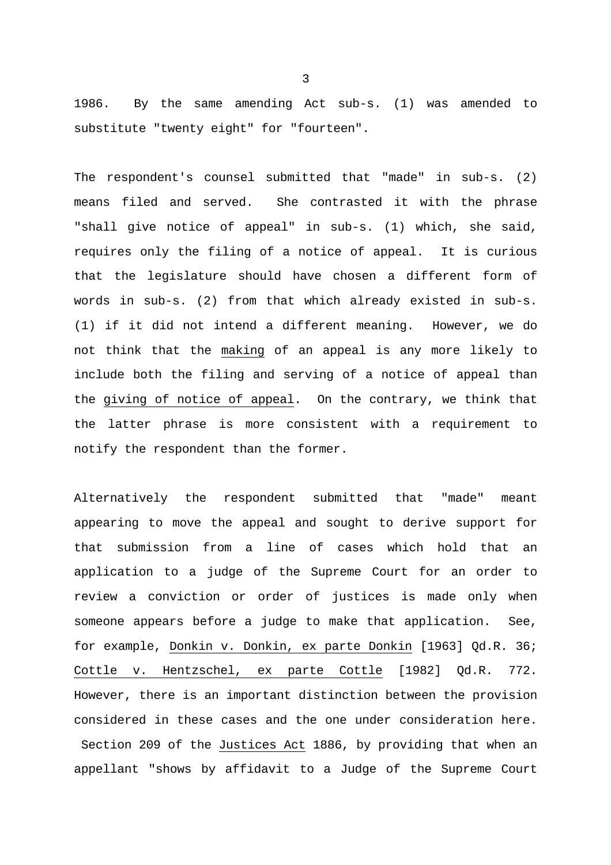1986. By the same amending Act sub-s. (1) was amended to substitute "twenty eight" for "fourteen".

The respondent's counsel submitted that "made" in sub-s. (2) means filed and served. She contrasted it with the phrase "shall give notice of appeal" in sub-s. (1) which, she said, requires only the filing of a notice of appeal. It is curious that the legislature should have chosen a different form of words in sub-s. (2) from that which already existed in sub-s. (1) if it did not intend a different meaning. However, we do not think that the making of an appeal is any more likely to include both the filing and serving of a notice of appeal than the giving of notice of appeal. On the contrary, we think that the latter phrase is more consistent with a requirement to notify the respondent than the former.

Alternatively the respondent submitted that "made" meant appearing to move the appeal and sought to derive support for that submission from a line of cases which hold that application to a judge of the Supreme Court for an order to review a conviction or order of justices is made only when someone appears before a judge to make that application. See, for example, Donkin v. Donkin, ex parte Donkin [1963] Qd.R. 36; Cottle v. Hentzschel, ex parte Cottle [1982] Qd.R. 772. However, there is an important distinction between the provision considered in these cases and the one under consideration here. Section 209 of the Justices Act 1886, by providing that when an appellant "shows by affidavit to a Judge of the Supreme Court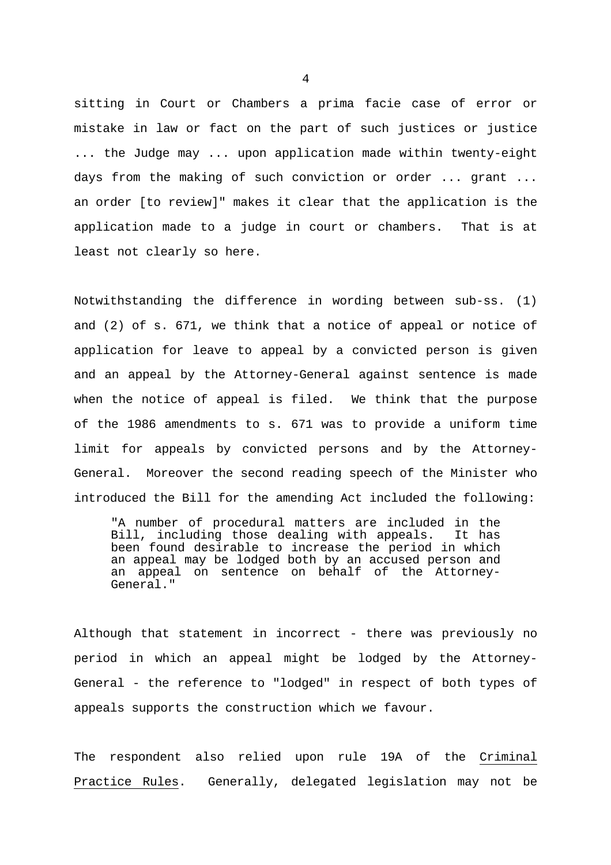sitting in Court or Chambers a prima facie case of error or mistake in law or fact on the part of such justices or justice ... the Judge may ... upon application made within twenty-eight days from the making of such conviction or order ... grant ... an order [to review]" makes it clear that the application is the application made to a judge in court or chambers. That is at least not clearly so here.

Notwithstanding the difference in wording between sub-ss. (1) and (2) of s. 671, we think that a notice of appeal or notice of application for leave to appeal by a convicted person is given and an appeal by the Attorney-General against sentence is made when the notice of appeal is filed. We think that the purpose of the 1986 amendments to s. 671 was to provide a uniform time limit for appeals by convicted persons and by the Attorney-General. Moreover the second reading speech of the Minister who introduced the Bill for the amending Act included the following:

 "A number of procedural matters are included in the Bill, including those dealing with appeals. It has been found desirable to increase the period in which an appeal may be lodged both by an accused person and an appeal on sentence on behalf of the Attorney-General."

Although that statement in incorrect - there was previously no period in which an appeal might be lodged by the Attorney-General - the reference to "lodged" in respect of both types of appeals supports the construction which we favour.

The respondent also relied upon rule 19A of the Criminal Practice Rules. Generally, delegated legislation may not be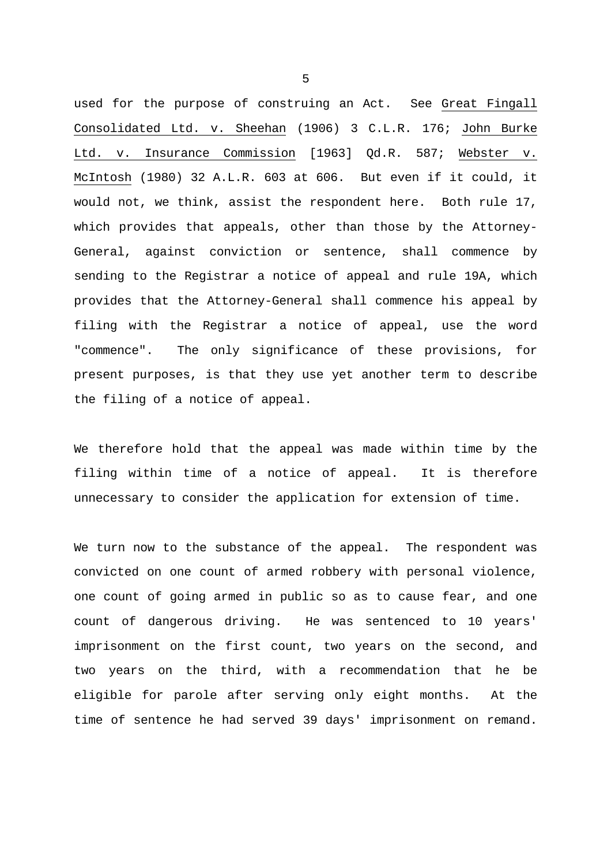used for the purpose of construing an Act. See Great Fingall Consolidated Ltd. v. Sheehan (1906) 3 C.L.R. 176; John Burke Ltd. v. Insurance Commission [1963] Qd.R. 587; Webster v. McIntosh (1980) 32 A.L.R. 603 at 606. But even if it could, it would not, we think, assist the respondent here. Both rule 17, which provides that appeals, other than those by the Attorney-General, against conviction or sentence, shall commence by sending to the Registrar a notice of appeal and rule 19A, which provides that the Attorney-General shall commence his appeal by filing with the Registrar a notice of appeal, use the word "commence". The only significance of these provisions, for present purposes, is that they use yet another term to describe the filing of a notice of appeal.

We therefore hold that the appeal was made within time by the filing within time of a notice of appeal. It is therefore unnecessary to consider the application for extension of time.

We turn now to the substance of the appeal. The respondent was convicted on one count of armed robbery with personal violence, one count of going armed in public so as to cause fear, and one count of dangerous driving. He was sentenced to 10 years' imprisonment on the first count, two years on the second, and two years on the third, with a recommendation that he be eligible for parole after serving only eight months. At the time of sentence he had served 39 days' imprisonment on remand.

 $\sim$  5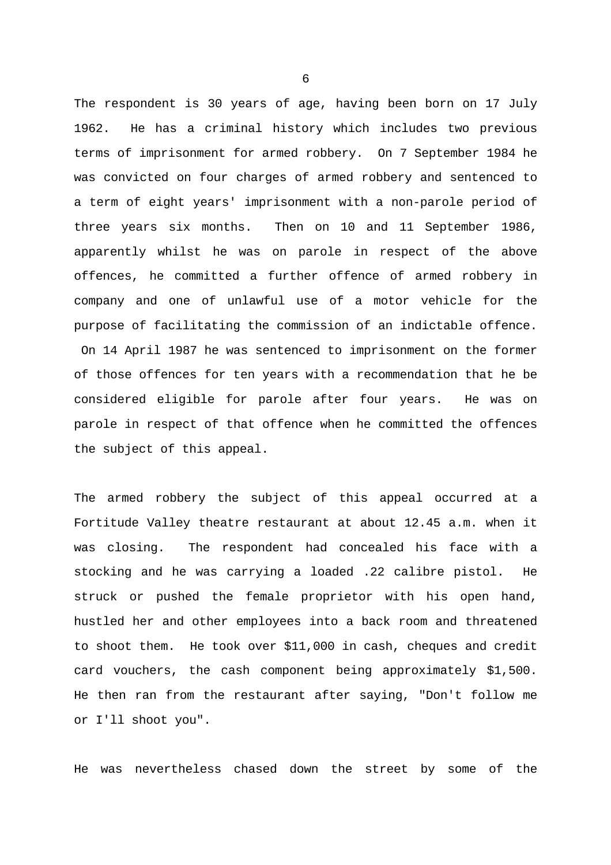The respondent is 30 years of age, having been born on 17 July 1962. He has a criminal history which includes two previous terms of imprisonment for armed robbery. On 7 September 1984 he was convicted on four charges of armed robbery and sentenced to a term of eight years' imprisonment with a non-parole period of three years six months. Then on 10 and 11 September 1986, apparently whilst he was on parole in respect of the above offences, he committed a further offence of armed robbery in company and one of unlawful use of a motor vehicle for the purpose of facilitating the commission of an indictable offence. On 14 April 1987 he was sentenced to imprisonment on the former of those offences for ten years with a recommendation that he be considered eligible for parole after four years. He was on parole in respect of that offence when he committed the offences the subject of this appeal.

The armed robbery the subject of this appeal occurred at a Fortitude Valley theatre restaurant at about 12.45 a.m. when it was closing. The respondent had concealed his face with a stocking and he was carrying a loaded .22 calibre pistol. He struck or pushed the female proprietor with his open hand, hustled her and other employees into a back room and threatened to shoot them. He took over \$11,000 in cash, cheques and credit card vouchers, the cash component being approximately \$1,500. He then ran from the restaurant after saying, "Don't follow me or I'll shoot you".

He was nevertheless chased down the street by some of the

 $\sim$  6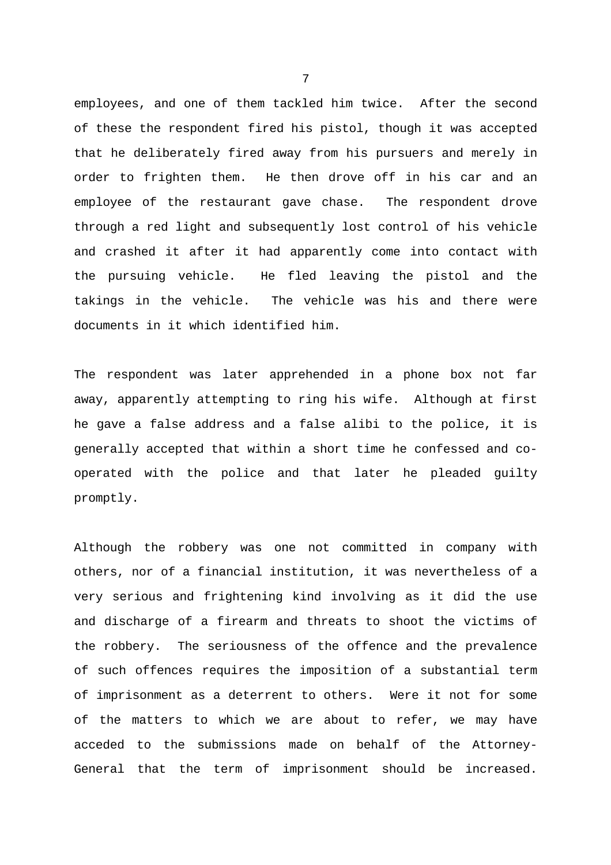employees, and one of them tackled him twice. After the second of these the respondent fired his pistol, though it was accepted that he deliberately fired away from his pursuers and merely in order to frighten them. He then drove off in his car and an employee of the restaurant gave chase. The respondent drove through a red light and subsequently lost control of his vehicle and crashed it after it had apparently come into contact with the pursuing vehicle. He fled leaving the pistol and the takings in the vehicle. The vehicle was his and there were documents in it which identified him.

The respondent was later apprehended in a phone box not far away, apparently attempting to ring his wife. Although at first he gave a false address and a false alibi to the police, it is generally accepted that within a short time he confessed and cooperated with the police and that later he pleaded guilty promptly.

Although the robbery was one not committed in company with others, nor of a financial institution, it was nevertheless of a very serious and frightening kind involving as it did the use and discharge of a firearm and threats to shoot the victims of the robbery. The seriousness of the offence and the prevalence of such offences requires the imposition of a substantial term of imprisonment as a deterrent to others. Were it not for some of the matters to which we are about to refer, we may have acceded to the submissions made on behalf of the Attorney-General that the term of imprisonment should be increased.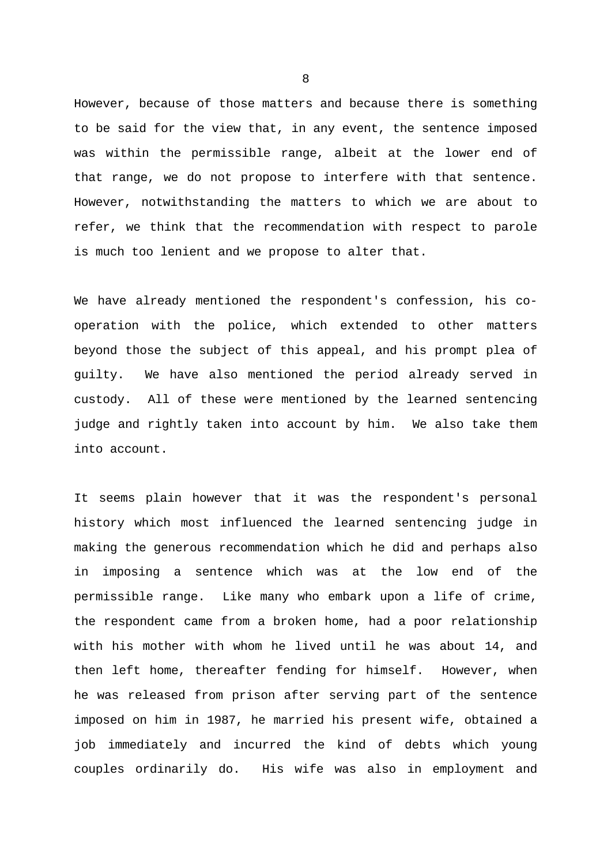However, because of those matters and because there is something to be said for the view that, in any event, the sentence imposed was within the permissible range, albeit at the lower end of that range, we do not propose to interfere with that sentence. However, notwithstanding the matters to which we are about to refer, we think that the recommendation with respect to parole is much too lenient and we propose to alter that.

We have already mentioned the respondent's confession, his cooperation with the police, which extended to other matters beyond those the subject of this appeal, and his prompt plea of guilty. We have also mentioned the period already served in custody. All of these were mentioned by the learned sentencing judge and rightly taken into account by him. We also take them into account.

It seems plain however that it was the respondent's personal history which most influenced the learned sentencing judge in making the generous recommendation which he did and perhaps also in imposing a sentence which was at the low end of the permissible range. Like many who embark upon a life of crime, the respondent came from a broken home, had a poor relationship with his mother with whom he lived until he was about 14, and then left home, thereafter fending for himself. However, when he was released from prison after serving part of the sentence imposed on him in 1987, he married his present wife, obtained a job immediately and incurred the kind of debts which young couples ordinarily do. His wife was also in employment and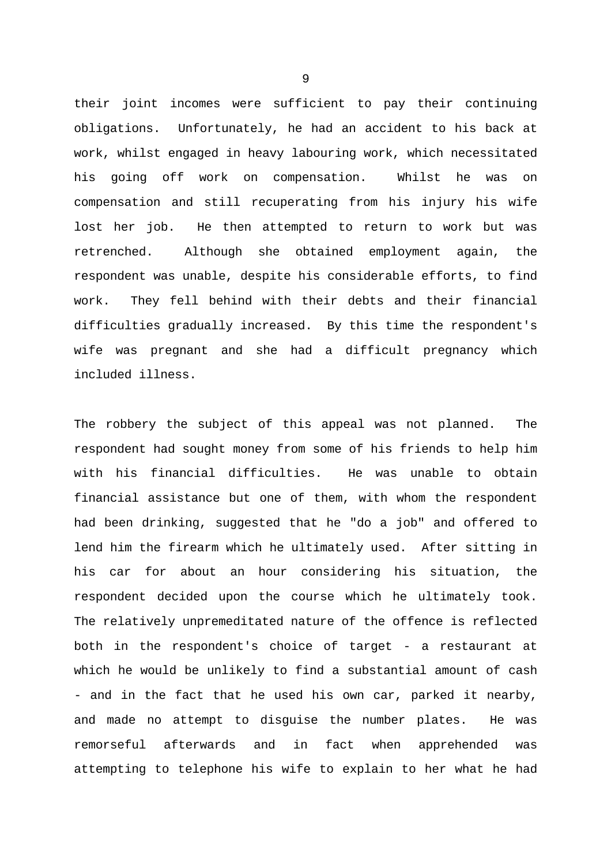their joint incomes were sufficient to pay their continuing obligations. Unfortunately, he had an accident to his back at work, whilst engaged in heavy labouring work, which necessitated his going off work on compensation. Whilst he was on compensation and still recuperating from his injury his wife lost her job. He then attempted to return to work but was retrenched. Although she obtained employment again, the respondent was unable, despite his considerable efforts, to find work. They fell behind with their debts and their financial difficulties gradually increased. By this time the respondent's wife was pregnant and she had a difficult pregnancy which included illness.

The robbery the subject of this appeal was not planned. The respondent had sought money from some of his friends to help him with his financial difficulties. He was unable to obtain financial assistance but one of them, with whom the respondent had been drinking, suggested that he "do a job" and offered to lend him the firearm which he ultimately used. After sitting in his car for about an hour considering his situation, the respondent decided upon the course which he ultimately took. The relatively unpremeditated nature of the offence is reflected both in the respondent's choice of target - a restaurant at which he would be unlikely to find a substantial amount of cash - and in the fact that he used his own car, parked it nearby, and made no attempt to disguise the number plates. He was remorseful afterwards and in fact when apprehended was attempting to telephone his wife to explain to her what he had